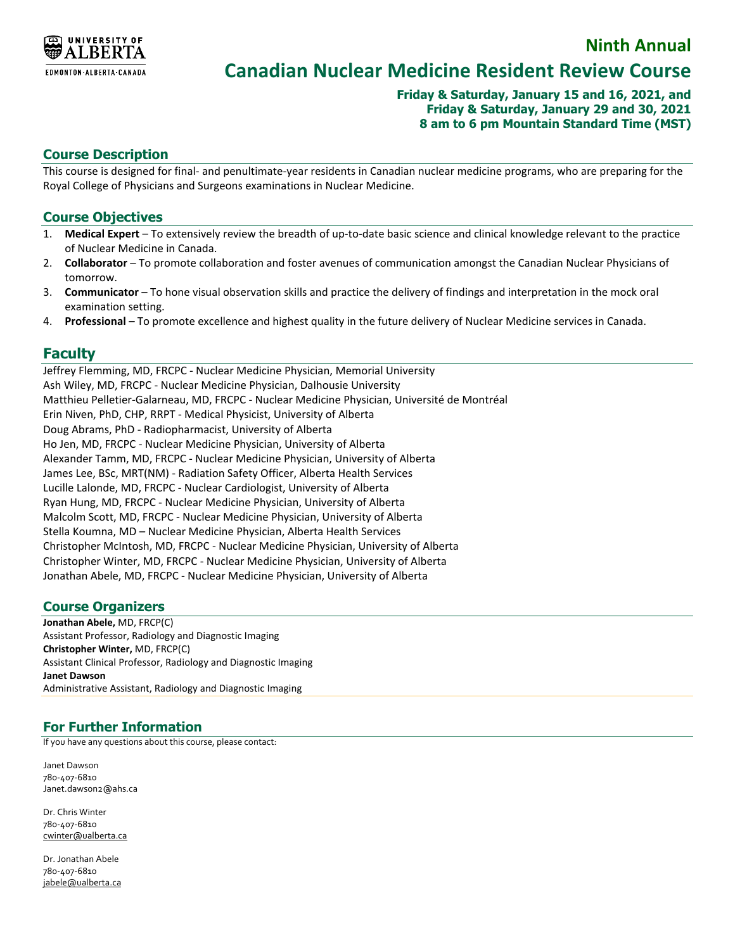

# **Canadian Nuclear Medicine Resident Review Course**

### **Friday & Saturday, January 15 and 16, 2021, and Friday & Saturday, January 29 and 30, 2021 8 am to 6 pm Mountain Standard Time (MST)**

**Ninth Annual**

### **Course Description**

This course is designed for final- and penultimate-year residents in Canadian nuclear medicine programs, who are preparing for the Royal College of Physicians and Surgeons examinations in Nuclear Medicine.

#### **Course Objectives**

- 1. **Medical Expert** To extensively review the breadth of up-to-date basic science and clinical knowledge relevant to the practice of Nuclear Medicine in Canada.
- 2. **Collaborator** To promote collaboration and foster avenues of communication amongst the Canadian Nuclear Physicians of tomorrow.
- 3. **Communicator** To hone visual observation skills and practice the delivery of findings and interpretation in the mock oral examination setting.
- 4. **Professional** To promote excellence and highest quality in the future delivery of Nuclear Medicine services in Canada.

### **Faculty**

Jeffrey Flemming, MD, FRCPC - Nuclear Medicine Physician, Memorial University Ash Wiley, MD, FRCPC - Nuclear Medicine Physician, Dalhousie University Matthieu Pelletier-Galarneau, MD, FRCPC - Nuclear Medicine Physician, Université de Montréal Erin Niven, PhD, CHP, RRPT - Medical Physicist, University of Alberta Doug Abrams, PhD - Radiopharmacist, University of Alberta Ho Jen, MD, FRCPC - Nuclear Medicine Physician, University of Alberta Alexander Tamm, MD, FRCPC - Nuclear Medicine Physician, University of Alberta James Lee, BSc, MRT(NM) - Radiation Safety Officer, Alberta Health Services Lucille Lalonde, MD, FRCPC - Nuclear Cardiologist, University of Alberta Ryan Hung, MD, FRCPC - Nuclear Medicine Physician, University of Alberta Malcolm Scott, MD, FRCPC - Nuclear Medicine Physician, University of Alberta Stella Koumna, MD – Nuclear Medicine Physician, Alberta Health Services Christopher McIntosh, MD, FRCPC - Nuclear Medicine Physician, University of Alberta Christopher Winter, MD, FRCPC - Nuclear Medicine Physician, University of Alberta Jonathan Abele, MD, FRCPC - Nuclear Medicine Physician, University of Alberta

# **Course Organizers**

**Jonathan Abele,** MD, FRCP(C) Assistant Professor, Radiology and Diagnostic Imaging **Christopher Winter,** MD, FRCP(C) Assistant Clinical Professor, Radiology and Diagnostic Imaging **Janet Dawson** Administrative Assistant, Radiology and Diagnostic Imaging

# **For Further Information**

If you have any questions about this course, please contact:

Janet Dawson 780-407-6810 Janet.dawson2@ahs.ca

Dr. Chris Winter 780-407-6810 [cwinter@ualberta.ca](mailto:cwinter@ualberta.ca)

Dr. Jonathan Abele 780-407-6810 [jabele@ualberta.ca](mailto:jabele@ualberta.ca)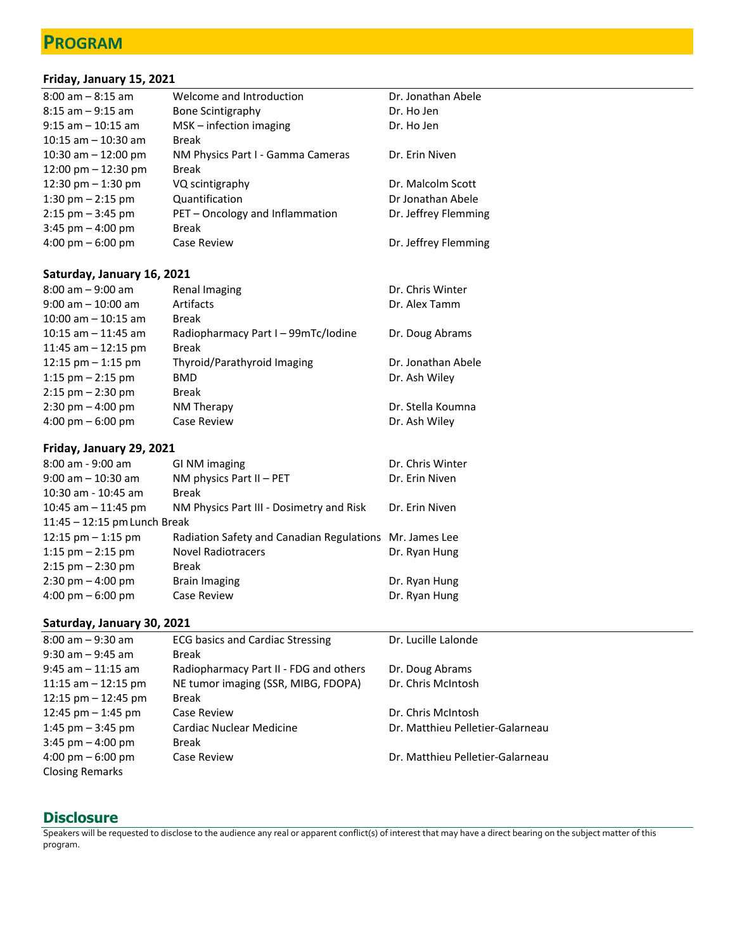# **PROGRAM**

**Friday, January 15, 2021**

| 8:00 am – 8:15 am    | Welcome and Introduction          | Dr. Jonathan Abele   |
|----------------------|-----------------------------------|----------------------|
| 8:15 am – 9:15 am    | Bone Scintigraphy                 | Dr. Ho Jen           |
| 9:15 am – 10:15 am   | $MSK$ – infection imaging         | Dr. Ho Jen           |
| 10:15 am - 10:30 am  | <b>Break</b>                      |                      |
| 10:30 am - 12:00 pm  | NM Physics Part I - Gamma Cameras | Dr. Erin Niven       |
| 12:00 pm - 12:30 pm  | <b>Break</b>                      |                      |
| 12:30 pm - 1:30 pm   | VQ scintigraphy                   | Dr. Malcolm Scott    |
| $1:30$ pm $-2:15$ pm | Quantification                    | Dr Jonathan Abele    |
| 2:15 pm – 3:45 pm    | PET - Oncology and Inflammation   | Dr. Jeffrey Flemming |
| 3:45 pm - 4:00 pm    | <b>Break</b>                      |                      |
| 4:00 pm – 6:00 pm    | Case Review                       | Dr. Jeffrey Flemming |
|                      |                                   |                      |

### **Saturday, January 16, 2021**

| Renal Imaging                       | Dr. Chris Winter   |
|-------------------------------------|--------------------|
| Artifacts                           | Dr. Alex Tamm      |
| <b>Break</b>                        |                    |
| Radiopharmacy Part I - 99mTc/lodine | Dr. Doug Abrams    |
| <b>Break</b>                        |                    |
| Thyroid/Parathyroid Imaging         | Dr. Jonathan Abele |
| BMD                                 | Dr. Ash Wiley      |
| <b>Break</b>                        |                    |
| NM Therapy                          | Dr. Stella Koumna  |
| Case Review                         | Dr. Ash Wiley      |
|                                     |                    |

### **Friday, January 29, 2021**

| $8:00$ am - 9:00 am                 | GI NM imaging                                           | Dr. Chris Winter |
|-------------------------------------|---------------------------------------------------------|------------------|
| $9:00$ am $-10:30$ am               | NM physics Part $II - PET$                              | Dr. Erin Niven   |
| $10:30$ am - $10:45$ am             | <b>Break</b>                                            |                  |
| 10:45 am $-$ 11:45 pm               | NM Physics Part III - Dosimetry and Risk                | Dr. Erin Niven   |
| $11:45 - 12:15$ pm Lunch Break      |                                                         |                  |
| 12:15 $pm - 1:15$ pm                | Radiation Safety and Canadian Regulations Mr. James Lee |                  |
| 1:15 $pm - 2:15$ pm                 | <b>Novel Radiotracers</b>                               | Dr. Ryan Hung    |
| $2:15$ pm $- 2:30$ pm               | Break                                                   |                  |
| $2:30 \text{ pm} - 4:00 \text{ pm}$ | Brain Imaging                                           | Dr. Ryan Hung    |
| $4:00 \text{ pm} - 6:00 \text{ pm}$ | Case Review                                             | Dr. Ryan Hung    |

### **Saturday, January 30, 2021**

| $8:00$ am $-9:30$ am                                          | <b>ECG basics and Cardiac Stressing</b> | Dr. Lucille Lalonde              |
|---------------------------------------------------------------|-----------------------------------------|----------------------------------|
| $9:30$ am $-9:45$ am                                          | Break                                   |                                  |
| $9:45$ am $-11:15$ am                                         | Radiopharmacy Part II - FDG and others  | Dr. Doug Abrams                  |
| 11:15 am $-$ 12:15 pm                                         | NE tumor imaging (SSR, MIBG, FDOPA)     | Dr. Chris McIntosh               |
| 12:15 $pm - 12:45$ pm                                         | <b>Break</b>                            |                                  |
| 12:45 pm $-$ 1:45 pm                                          | Case Review                             | Dr. Chris McIntosh               |
| 1:45 pm $-$ 3:45 pm                                           | Cardiac Nuclear Medicine                | Dr. Matthieu Pelletier-Galarneau |
| $3:45$ pm $-4:00$ pm                                          | Break                                   |                                  |
| $4:00 \text{ pm} - 6:00 \text{ pm}$<br><b>Closing Remarks</b> | Case Review                             | Dr. Matthieu Pelletier-Galarneau |
|                                                               |                                         |                                  |

# **Disclosure**

Speakers will be requested to disclose to the audience any real or apparent conflict(s) of interest that may have a direct bearing on the subject matter of this program.